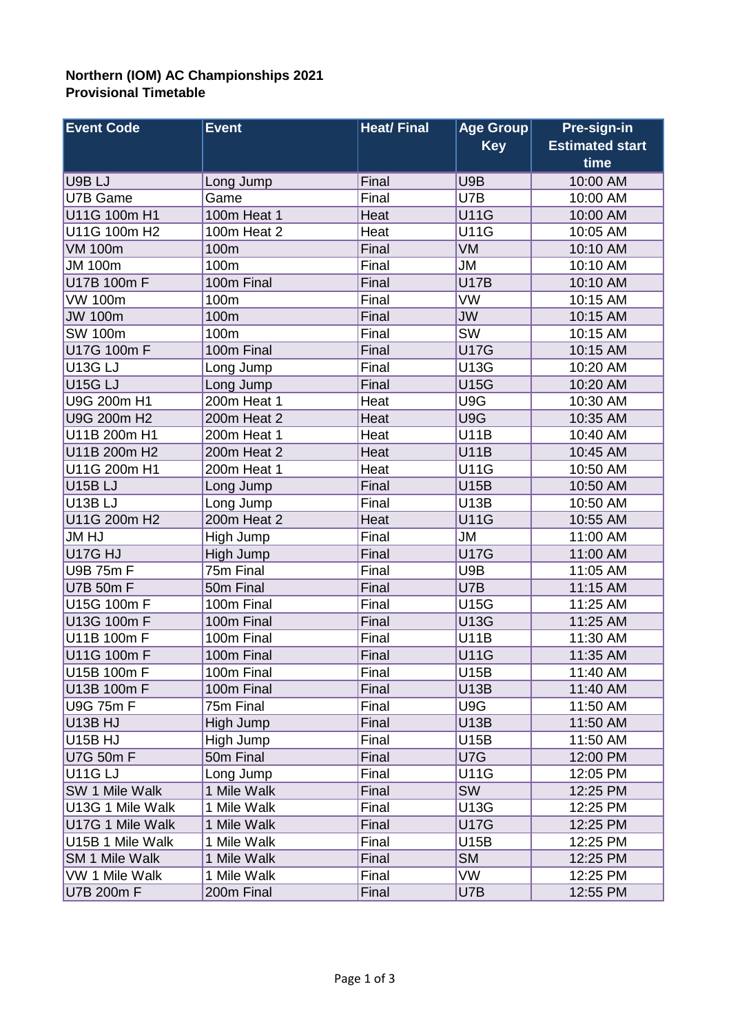## **Northern (IOM) AC Championships 2021 Provisional Timetable**

| <b>Event Code</b>        | <b>Event</b> | <b>Heat/Final</b> | Age Group   | Pre-sign-in            |
|--------------------------|--------------|-------------------|-------------|------------------------|
|                          |              |                   | <b>Key</b>  | <b>Estimated start</b> |
|                          |              |                   |             | time                   |
| U9B LJ                   | Long Jump    | Final             | U9B         | 10:00 AM               |
| U7B Game                 | Game         | Final             | U7B         | 10:00 AM               |
| U11G 100m H1             | 100m Heat 1  | Heat              | <b>U11G</b> | 10:00 AM               |
| U11G 100m H2             | 100m Heat 2  | Heat              | <b>U11G</b> | 10:05 AM               |
| <b>VM 100m</b>           | 100m         | Final             | VM          | 10:10 AM               |
| <b>JM 100m</b>           | 100m         | Final             | JM          | 10:10 AM               |
| U17B 100m F              | 100m Final   | Final             | <b>U17B</b> | 10:10 AM               |
| <b>VW 100m</b>           | 100m         | Final             | VW          | 10:15 AM               |
| <b>JW 100m</b>           | 100m         | Final             | <b>JW</b>   | 10:15 AM               |
| <b>SW 100m</b>           | 100m         | Final             | SW          | 10:15 AM               |
| U17G 100m F              | 100m Final   | Final             | <b>U17G</b> | 10:15 AM               |
| U <sub>13G LJ</sub>      | Long Jump    | Final             | <b>U13G</b> | 10:20 AM               |
| <b>U15G LJ</b>           | Long Jump    | Final             | <b>U15G</b> | 10:20 AM               |
| U9G 200m H1              | 200m Heat 1  | Heat              | U9G         | 10:30 AM               |
| U9G 200m H <sub>2</sub>  | 200m Heat 2  | Heat              | U9G         | 10:35 AM               |
| U11B 200m H1             | 200m Heat 1  | Heat              | <b>U11B</b> | 10:40 AM               |
| U11B 200m H <sub>2</sub> | 200m Heat 2  | Heat              | <b>U11B</b> | 10:45 AM               |
| U11G 200m H1             | 200m Heat 1  | Heat              | <b>U11G</b> | 10:50 AM               |
| U <sub>15</sub> BLJ      | Long Jump    | Final             | <b>U15B</b> | 10:50 AM               |
| <b>U13B LJ</b>           |              | Final             | <b>U13B</b> | 10:50 AM               |
|                          | Long Jump    |                   |             |                        |
| U11G 200m H <sub>2</sub> | 200m Heat 2  | Heat              | <b>U11G</b> | 10:55 AM               |
| <b>JM HJ</b>             | High Jump    | Final             | <b>JM</b>   | 11:00 AM               |
| U17G HJ                  | High Jump    | Final             | <b>U17G</b> | 11:00 AM               |
| U9B 75m F                | 75m Final    | Final             | U9B         | 11:05 AM               |
| U7B 50m F                | 50m Final    | Final             | U7B         | 11:15 AM               |
| U15G 100m F              | 100m Final   | Final             | <b>U15G</b> | 11:25 AM               |
| U13G 100m F              | 100m Final   | Final             | <b>U13G</b> | 11:25 AM               |
| U11B 100m F              | 100m Final   | Final             | <b>U11B</b> | 11:30 AM               |
| U11G 100m F              | 100m Final   | Final             | <b>U11G</b> | 11:35 AM               |
| U15B 100m F              | 100m Final   | Final             | U15B        | 11:40 AM               |
| U13B 100m F              | 100m Final   | Final             | <b>U13B</b> | 11:40 AM               |
| U9G 75m F                | 75m Final    | Final             | U9G         | 11:50 AM               |
| U <sub>13</sub> B HJ     | High Jump    | Final             | <b>U13B</b> | 11:50 AM               |
| U <sub>15</sub> B HJ     | High Jump    | Final             | U15B        | 11:50 AM               |
| U7G 50m F                | 50m Final    | Final             | U7G         | 12:00 PM               |
| U11G LJ                  | Long Jump    | Final             | <b>U11G</b> | 12:05 PM               |
| <b>SW 1 Mile Walk</b>    | 1 Mile Walk  | Final             | <b>SW</b>   | 12:25 PM               |
| U13G 1 Mile Walk         | 1 Mile Walk  | Final             | <b>U13G</b> | 12:25 PM               |
| U17G 1 Mile Walk         | 1 Mile Walk  | Final             | <b>U17G</b> | 12:25 PM               |
| U15B 1 Mile Walk         | 1 Mile Walk  | Final             | <b>U15B</b> | 12:25 PM               |
| <b>SM 1 Mile Walk</b>    | 1 Mile Walk  | Final             | <b>SM</b>   | 12:25 PM               |
| VW 1 Mile Walk           | 1 Mile Walk  | Final             | <b>VW</b>   | 12:25 PM               |
| U7B 200m F               | 200m Final   | Final             | U7B         | 12:55 PM               |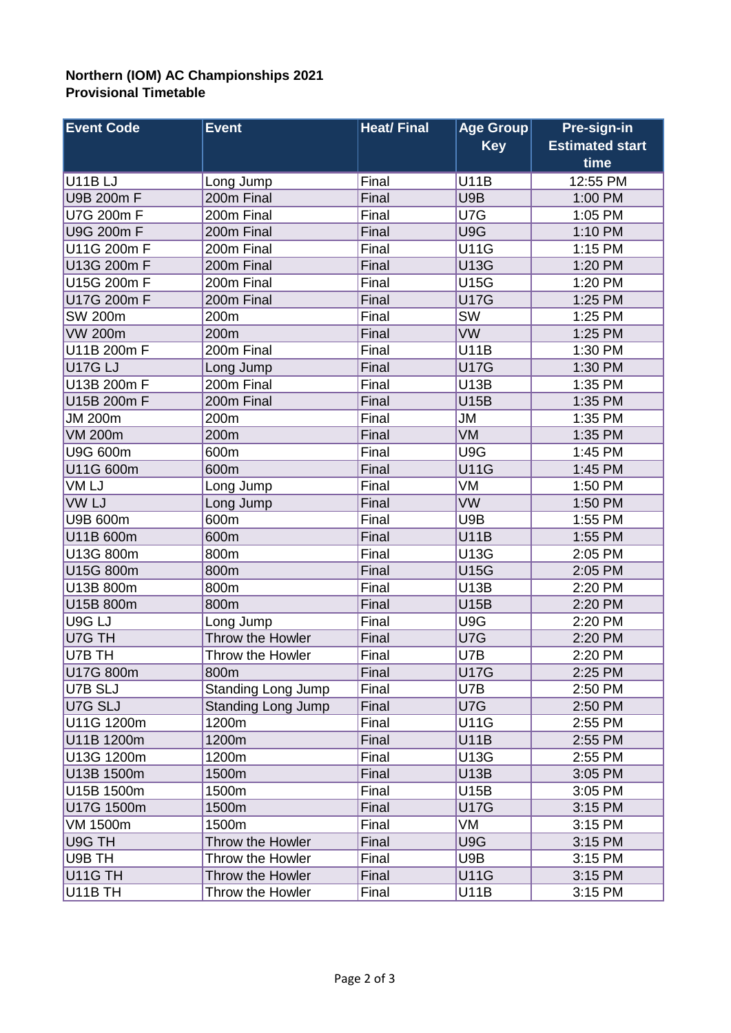## **Northern (IOM) AC Championships 2021 Provisional Timetable**

| <b>Event Code</b> | <b>Event</b>              | <b>Heat/Final</b> | <b>Age Group</b> | Pre-sign-in                    |
|-------------------|---------------------------|-------------------|------------------|--------------------------------|
|                   |                           |                   | <b>Key</b>       | <b>Estimated start</b><br>time |
| <b>U11BLJ</b>     |                           | Final             | <b>U11B</b>      | 12:55 PM                       |
|                   | Long Jump                 |                   | U9B              |                                |
| U9B 200m F        | 200m Final                | Final             |                  | 1:00 PM                        |
| U7G 200m F        | 200m Final                | Final             | U7G              | 1:05 PM                        |
| U9G 200m F        | 200m Final                | Final             | U9G              | 1:10 PM                        |
| U11G 200m F       | 200m Final                | Final             | <b>U11G</b>      | 1:15 PM                        |
| U13G 200m F       | 200m Final                | Final             | <b>U13G</b>      | 1:20 PM                        |
| U15G 200m F       | 200m Final                | Final             | <b>U15G</b>      | 1:20 PM                        |
| U17G 200m F       | 200m Final                | Final             | <b>U17G</b>      | 1:25 PM                        |
| <b>SW 200m</b>    | 200m                      | Final             | SW               | 1:25 PM                        |
| <b>VW 200m</b>    | 200m                      | Final             | <b>VW</b>        | 1:25 PM                        |
| U11B 200m F       | 200m Final                | Final             | <b>U11B</b>      | 1:30 PM                        |
| <b>U17G LJ</b>    | Long Jump                 | Final             | <b>U17G</b>      | 1:30 PM                        |
| U13B 200m F       | 200m Final                | Final             | <b>U13B</b>      | 1:35 PM                        |
| U15B 200m F       | 200m Final                | Final             | <b>U15B</b>      | 1:35 PM                        |
| <b>JM 200m</b>    | 200m                      | Final             | <b>JM</b>        | 1:35 PM                        |
| <b>VM 200m</b>    | 200m                      | Final             | VM               | 1:35 PM                        |
| <b>U9G 600m</b>   | 600m                      | Final             | U9G              | 1:45 PM                        |
| U11G 600m         | 600m                      | Final             | <b>U11G</b>      | 1:45 PM                        |
| VM LJ             | Long Jump                 | Final             | VM               | 1:50 PM                        |
| VW LJ             | Long Jump                 | Final             | <b>VW</b>        | 1:50 PM                        |
| U9B 600m          | 600m                      | Final             | U9B              | 1:55 PM                        |
| U11B 600m         | 600m                      | Final             | <b>U11B</b>      | 1:55 PM                        |
| U13G 800m         | 800m                      | Final             | <b>U13G</b>      | 2:05 PM                        |
| U15G 800m         | 800m                      | Final             | <b>U15G</b>      | 2:05 PM                        |
| U13B 800m         | 800m                      | Final             | <b>U13B</b>      | 2:20 PM                        |
| U15B 800m         | 800m                      | Final             | <b>U15B</b>      | 2:20 PM                        |
| U9G LJ            | Long Jump                 | Final             | U9G              | 2:20 PM                        |
| U7G TH            | Throw the Howler          | Final             | U7G              | 2:20 PM                        |
| U7B TH            | Throw the Howler          | Final             | U7B              | 2:20 PM                        |
| U17G 800m         | 800m                      | Final             | <b>U17G</b>      | 2:25 PM                        |
| U7B SLJ           | <b>Standing Long Jump</b> | Final             | U7B              | 2:50 PM                        |
| U7G SLJ           | <b>Standing Long Jump</b> | Final             | U7G              | 2:50 PM                        |
| U11G 1200m        | 1200m                     | Final             | <b>U11G</b>      | 2:55 PM                        |
| U11B 1200m        | 1200m                     | Final             | <b>U11B</b>      | 2:55 PM                        |
| U13G 1200m        | 1200m                     | Final             | <b>U13G</b>      | 2:55 PM                        |
| U13B 1500m        | 1500m                     | Final             | <b>U13B</b>      | 3:05 PM                        |
| U15B 1500m        | 1500m                     | Final             | <b>U15B</b>      | 3:05 PM                        |
| U17G 1500m        | 1500m                     | Final             | <b>U17G</b>      | 3:15 PM                        |
| VM 1500m          | 1500m                     | Final             | VM               | 3:15 PM                        |
| U9G TH            | Throw the Howler          | Final             | U9G              | 3:15 PM                        |
| U9B TH            | Throw the Howler          | Final             | U9B              | 3:15 PM                        |
| U11G TH           | Throw the Howler          | Final             | <b>U11G</b>      | 3:15 PM                        |
| U11B TH           | Throw the Howler          | Final             | <b>U11B</b>      | 3:15 PM                        |
|                   |                           |                   |                  |                                |